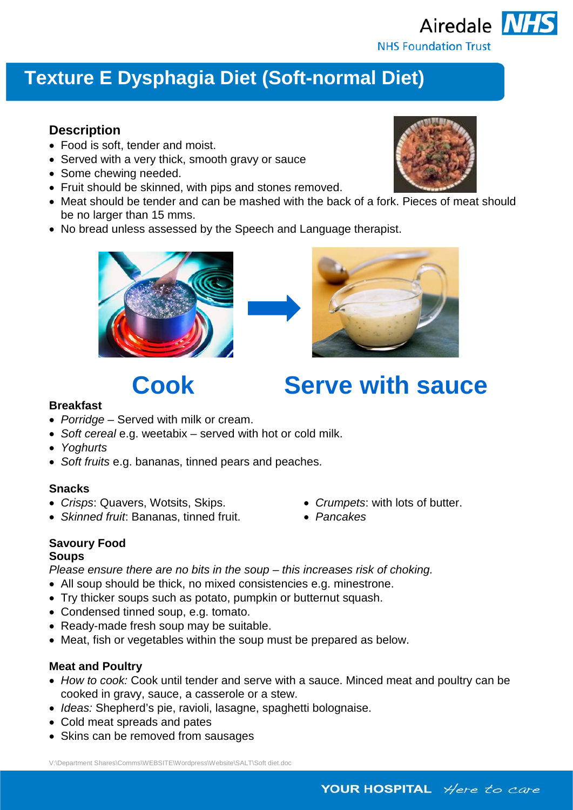

# **Texture E Dysphagia Diet (Soft-normal Diet)**

### **Description**

- Food is soft, tender and moist.
- Served with a very thick, smooth gravy or sauce
- Some chewing needed.
- Fruit should be skinned, with pips and stones removed.
- Meat should be tender and can be mashed with the back of a fork. Pieces of meat should be no larger than 15 mms.
- No bread unless assessed by the Speech and Language therapist.







#### **Breakfast**

- *Porridge*  Served with milk or cream.
- *Soft cereal* e.g. weetabix served with hot or cold milk.
- *Yoghurts*
- *Soft fruits* e.g. bananas, tinned pears and peaches.

#### **Snacks**

- *Crisps*: Quavers, Wotsits, Skips.
- *Skinned fruit*: Bananas, tinned fruit.
- *Crumpets*: with lots of butter.
- *Pancakes*

#### **Savoury Food**

#### **Soups**

*Please ensure there are no bits in the soup – this increases risk of choking.*

- All soup should be thick, no mixed consistencies e.g. minestrone.
- Try thicker soups such as potato, pumpkin or butternut squash.
- Condensed tinned soup, e.g. tomato.
- Ready-made fresh soup may be suitable.
- Meat, fish or vegetables within the soup must be prepared as below.

#### **Meat and Poultry**

- *How to cook:* Cook until tender and serve with a sauce. Minced meat and poultry can be cooked in gravy, sauce, a casserole or a stew.
- *Ideas:* Shepherd's pie, ravioli, lasagne, spaghetti bolognaise.
- Cold meat spreads and pates
- Skins can be removed from sausages

V:\Department Shares\Comms\WEBSITE\Wordpress\Website\SALT\Soft diet.doc